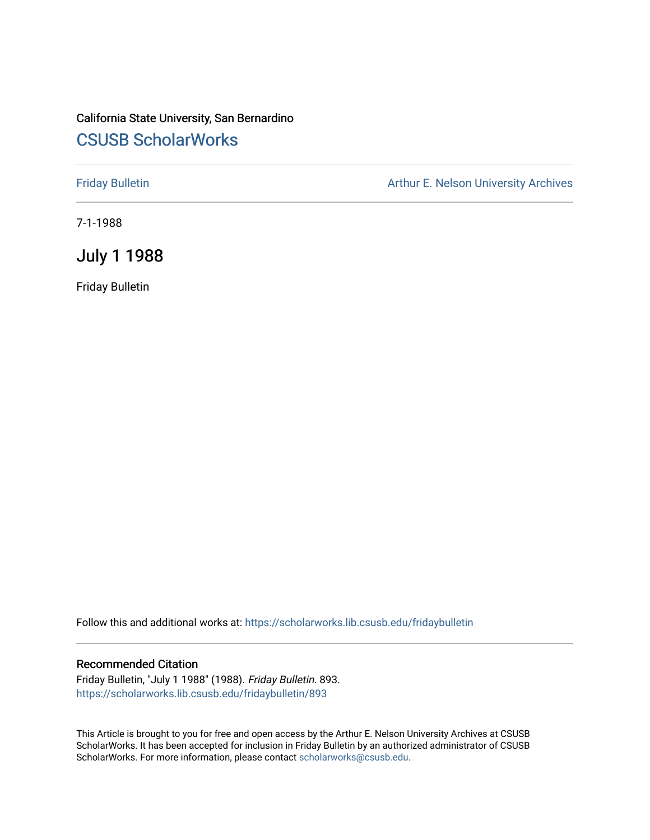#### California State University, San Bernardino [CSUSB ScholarWorks](https://scholarworks.lib.csusb.edu/)

[Friday Bulletin](https://scholarworks.lib.csusb.edu/fridaybulletin) **Arthur E. Nelson University Archives** Arthur E. Nelson University Archives

7-1-1988

July 1 1988

Friday Bulletin

Follow this and additional works at: [https://scholarworks.lib.csusb.edu/fridaybulletin](https://scholarworks.lib.csusb.edu/fridaybulletin?utm_source=scholarworks.lib.csusb.edu%2Ffridaybulletin%2F893&utm_medium=PDF&utm_campaign=PDFCoverPages)

#### Recommended Citation

Friday Bulletin, "July 1 1988" (1988). Friday Bulletin. 893. [https://scholarworks.lib.csusb.edu/fridaybulletin/893](https://scholarworks.lib.csusb.edu/fridaybulletin/893?utm_source=scholarworks.lib.csusb.edu%2Ffridaybulletin%2F893&utm_medium=PDF&utm_campaign=PDFCoverPages)

This Article is brought to you for free and open access by the Arthur E. Nelson University Archives at CSUSB ScholarWorks. It has been accepted for inclusion in Friday Bulletin by an authorized administrator of CSUSB ScholarWorks. For more information, please contact [scholarworks@csusb.edu.](mailto:scholarworks@csusb.edu)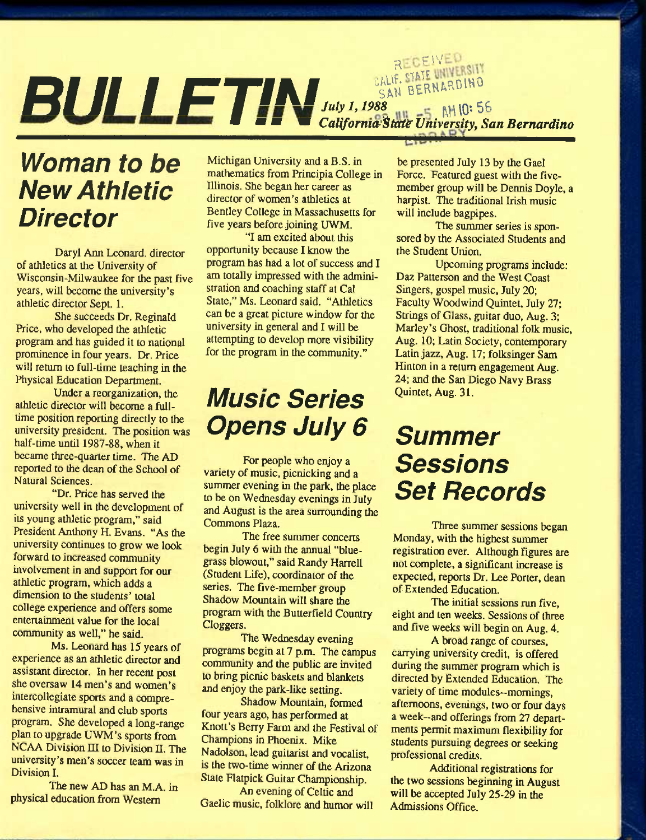# RECEIVED CALIF. STATE UNIVERSITY **m Of CALIFT &** *California***<sup>SAN BERNARDING: 56 MHO: 56 MHO: 56 California<sup>State</sup> University, San Bernardino**</sup>

## *Woman to be New Athletic Director*

Daryl Ann Leonard, director of athletics at the University of Wisconsin-Milwaukee for the past five years, will become the university's athletic director Sept. 1.

She succeeds Dr. Reginald Price, who developed the athletic program and has guided it to national prominence in four years. Dr. Price will return to full-time teaching in the Physical Education Department.

Under a reorganization, the athletic director will become a fulltime position reporting directly to the university president. The position was half-time until 1987-88, when it became three-quarter time. The AD reported to the dean of the School of Natural Sciences.

"Dr. Price has served the university well in the development of its young athletic program," said President Anthony H. Evans. "As the university continues to grow we look forward to increased community involvement in and support for our athletic program, which adds a dimension to the students' total college experience and offers some entertainment value for the local community as well," he said.

Ms. Leonard has 15 years of experience as an athletic director and assistant director. In her recent post she oversaw 14 men's and women's intercollegiate sports and a comprehensive intramural and club sports program. She developed a long-range plan to upgrade UWM's sports from NCAA Division III to Division II. The university's men's soccer team was in Division I.

The new AD has an M.A. in physical education from Western

Michigan University and a B.S. in mathematics from Principia College in Illinois. She began her career as director of women's athletics at Bentley College in Massachusetts for five years before joining UWM.

"I am excited about this opportunity because I know the program has had a lot of success and I am totally impressed with the administration and coaching staff at Cal State," Ms. Leonard said. "Athletics can be a great picture window for the university in general and I will be attempting to develop more visibility for the program in the community."

## *Music Series Opens July 6*

For people who enjoy a variety of music, picnicking and a summer evening in the park, the place to be on Wednesday evenings in July and August is the area surrounding the Commons Plaza.

The free summer concerts begin July 6 with the annual "bluegrass blowout," said Randy Harrell (Student Life), coordinator of the series. The five-member group Shadow Mountain will share the program with the Butterfield Country Cloggers.

The Wednesday evening programs begin at 7 p.m. The campus community and the public are invited to bring picnic baskets and blankets and enjoy the park-like setting.

Shadow Mountain, formed four years ago, has performed at Knott's Berry Farm and the Festival of Champions in Phoenix. Mike Nadolson, lead guitarist and vocalist, is the two-time winner of the Arizona State Flatpick Guitar Championship.

An evening of Celtic and Gaelic music, folklore and humor will be presented July 13 by the Gael Force. Featured guest with the fivemember group will be Dennis Doyle, a harpist. The traditional Irish music will include bagpipes.

The summer series is sponsored by the Associated Students and the Student Union.

Upcoming programs include; Daz Patterson and the West Coast Singers, gospel music, July 20; Faculty Woodwind Quintet, July 27; Strings of Glass, guitar duo, Aug. 3; Marley's Ghost, traditional folk music, Aug. 10; Latin Society, contemporary Latin jazz, Aug. 17; folksinger Sam Hinton in a retum engagement Aug. 24; and the San Diego Navy Brass Quintet, Aug. 31.

## *Summer Sessions Set Records*

Three summer sessions began Monday, with the highest summer registration ever. Although figures are not complete, a significant increase is expected, reports Dr. Lee Porter, dean of Extended Education.

The initial sessions run five, eight and ten weeks. Sessions of three and five weeks will begin on Aug. 4.

A broad range of courses, carrying university credit, is offered during the summer program which is directed by Extended Education. The variety of time modules--mornings, afternoons, evenings, two or four days a week—and offerings from 27 departments permit maximum flexibility for students pursuing degrees or seeking professional credits.

Additional registrations for the two sessions beginning in August will be accepted July 25-29 in the Admissions Office.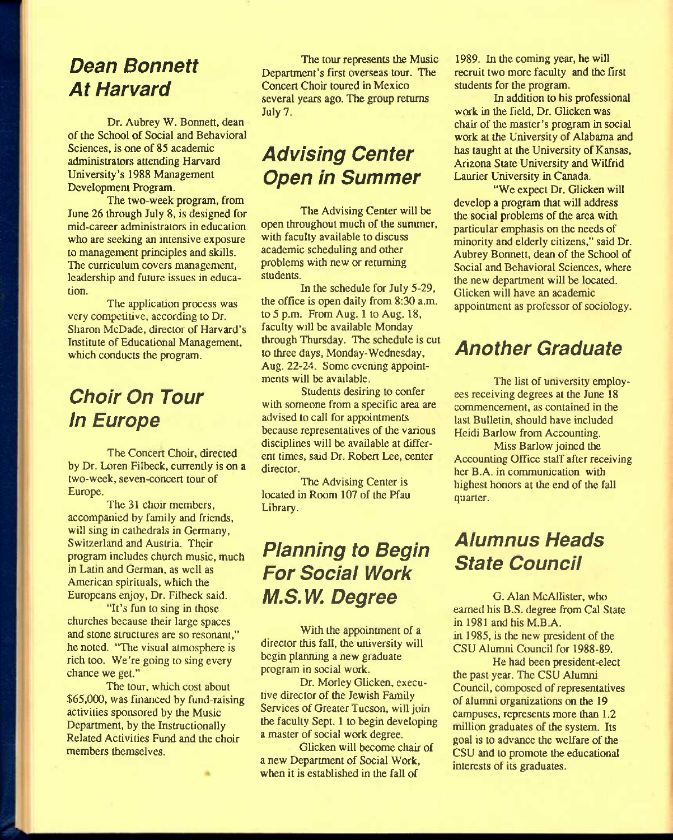#### *Dean Bonnett At Harvard*

Dr. Aubrey W. Bonnett, dean of the School of Social and Behavioral Sciences, is one of 85 academic administrators attending Harvard University's 1988 Management Development Program.

The two-week program, from June 26 through July 8, is designed for mid-career administrators in education who are seeking an intensive exposure to management principles and skills. The curriculum covers management, leadership and future issues in education.

The application process was very competitive, according to Dr. Sharon McDade, director of Harvard's Institute of Educational Management, which conducts the program.

### *Choir On Tour In Europe*

The Concert Choir, directed by Dr. Loren Filbeck, currently is on a two-week, seven-concert tour of Europe.

The 31 choir members, accompanied by family and friends, will sing in cathedrals in Germany, Switzerland and Austria. Their program includes church music, much in Latin and German, as well as American spirituals, which the Europeans enjoy, Dr. Filbeck said.

"It's fun to sing in those churches because their large spaces and stone structures are so resonant," he noted. "The visual atmosphere is rich too. We're going to sing every chance we gel."

The tour, which cost about \$65,000, was financed by fund-raising activities sponsored by the Music Department, by the Instructionally Related Activities Fund and the choir members themselves.

The tour represents the Music Department's first overseas tour. The Concert Choir toured in Mexico several years ago. The group returns July 7.

### *Advising Center Open in Summer*

The Advising Center will be open throughout much of the summer, with faculty available to discuss academic scheduling and other problems with new or returning students.

In the schedule for July 5-29, the office is open daily from 8:30 a.m. to 5 p.m. From Aug. 1 to Aug. 18, faculty will be available Monday through Thursday. The schedule is cut to three days, Monday-Wednesday, Aug. 22-24. Some evening appointments will be available.

Students desiring to confer with someone from a specific area are advised to call for appointments because representatives of the various disciplines will be available at different times, said Dr. Robert Lee, center director.

The Advising Center is located in Room 107 of the Pfau Library.

### *Pianning to Begin For Social Work M.S.W. Degree*

With the appointment of a director this fall, the university will begin planning a new graduate program in social work.

Dr. Morley Glicken, executive director of the Jewish Family Services of Greater Tucson, will join the faculty Sept. 1 to begin developing a master of social work degree.

Glicken will become chair of a new Department of Social Work, when it is established in the fall of

1989. In the coming year, he will recruit two more faculty and the first students for the program.

In addition to his professional work in the field. Dr. Glicken was chair of the master's program in social work at the University of Alabama and has taught at the University of Kansas, Arizona State University and Wilfrid Laurier University in Canada.

"We expect Dr. Glicken will develop a program that will address the social problems of the area with particular emphasis on the needs of minority and elderly citizens," said Dr. Aubrey Bonnett, dean of the School of Social and Behavioral Sciences, where the new department will be located. Glicken will have an academic appointment as professor of sociology.

#### *Another Graduate*

The list of university employees receiving degrees at the June 18 commencement, as contained in the last Bulletin, should have included Heidi Barlow from Accounting.

Miss Barlow joined the Accounting Office staff after receiving her B.A. in communication with highest honors at the end of the fall quarter.

### *Alumnus Heads State Council*

G. Alan McAllister, who eamed his B.S. degree from Cal State in 1981 and his M.B.A. in 1985, is the new president of the CSU Alumni Council for 1988-89.

He had been president-elect the past year. The CSU Alumni Council, composed of representatives of alumni organizations on the 19 campuses, represents more than 1.2 million graduates of the system. Its goal is to advance the welfare of the CSU and to promote the educational interests of its graduates.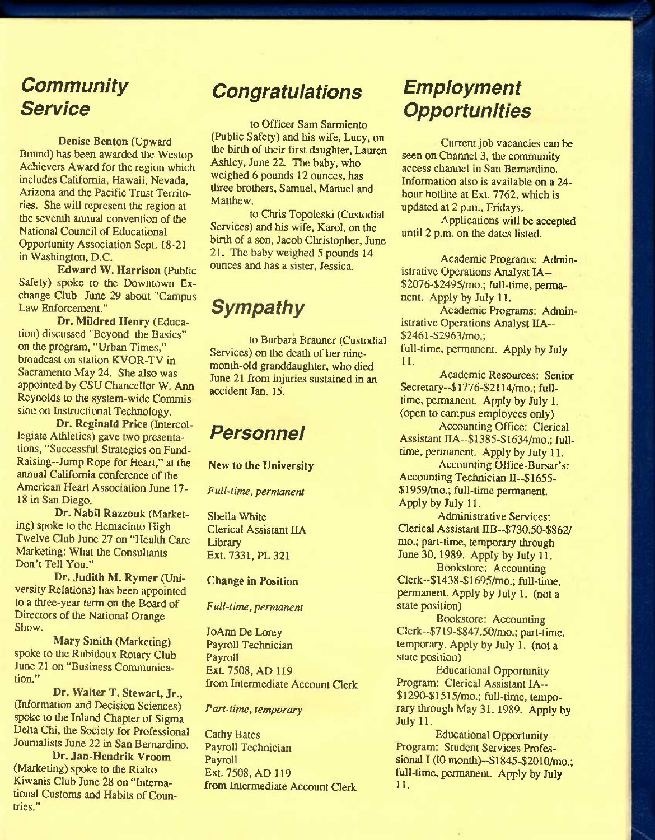#### *Community Service*

**Denise Benton** (Upward Bound) has been awarded the Westop Achievers Award for the region which includes California, Hawaii, Nevada, Arizona and the Pacific Trust Territories. She will represent the region at the seventh annual convention of the National Council of Educational Opportunity Association Sept. 18-21 in Washington, D.C.

**Edward W. Harrison** (Public Safety) spoke to the Downtown Exchange Club June 29 about "Campus Law Enforcement."

**Dr. Mildred Henry** (Education) discussed "Beyond the Basics" on the program, "Urban Times," broadcast on station KVOR-TV in Sacramento May 24. She also was appointed by CSU Chancellor W. Ann Reynolds to the system-wide Commission on Instructional Technology.

**Dr. Reginald Price** (Intercollegiate Athletics) gave two presentations, "Successful Strategies on Fund-Raising-Jump Rope for Heart," at the annual Califomia conference of the American Heart Association June 17- 18 in San Diego.

**Dr. Nabil Razzouk** (Marketing) spoke to the Hemacinto High Twelve Club June 27 on "Health Care Marketing: What the Consultants Don't Tell You."

Dr. Judith M. Rymer (University Relations) has been appointed to a three-year term on the Board of Directors of the National Orange Show.

**Mary Smith** (Marketing) spoke to the Rubidoux Rotary Club June 21 on "Business Communication."

**Dr. Walter T. Stewart, Jr.,**  (Information and Decision Sciences) spoke to the Inland Chapter of Sigma Delta Chi, the Society for Professional Joumalists June 22 in San Bernardino.

**Dr. Jan-Hendrik Vroom**  (Marketing) spoke to the Rialto Kiwanis Club June 28 on "Intemational Customs and Habits of Countries."

#### *Congratulations*

to Officer Sam Sarmiento (Public Safety) and his wife, Lucy, on the birth of their first daughter, Lauren Ashley, June 22. The baby, who weighed 6 pounds 12 ounces, has three brothers, Samuel, Manuel and Matthew.

to Chris Topoleski (Custodial Services) and his wife, Karol, on the birth of a son, Jacob Christopher, June 21. The baby weighed 5 pounds 14 ounces and has a sister, Jessica.

#### *Sympathy*

to Barbara Brauner (Custodial Services) on the death of her ninemonth-old granddaughter, who died June 21 from injuries sustained in an accident Jan. 15.

#### *Personnel*

New **to the University** 

*Full-time, permanent* 

Sheila White Clerical Assistant IIA Library Ext. 7331, PL 321

#### **Change in Position**

*Full-time, permanent* 

JoAnn De Lorey Payroll Technician Payroll Ext. 7508, AD 119 from Intermediate Account Clerk

#### *Part-time, temporary*

Cathy Bates Payroll Technician Payroll Ext. 7508, AD 119 from Intermediate Account Clerk

#### *Employment Opportunities*

Current job vacancies can be seen on Channel 3, the community access channel in San Bemardino. Information also is available on a 24 hour hotline at Ext. 7762, which is updated at 2 p.m., Fridays.

Applications will be accepted until 2 p.m. on the dates listed.

Academic Programs: Administrative Operations Analyst lA— \$2076-\$2495/mo.; full-time, permanent. Apply by July 11.

Academic Programs: Administrative Operations Analyst HA— \$2461-\$2963/mo.;

full-time, permanent. Apply by July 11.

Academic Resources: Senior Secretary-\$1776-\$2114/mo.; fulltime, permanent. Apply by July 1. (open to campus employees only)

Accounting Office: Clerical Assistant IIA--\$1385-\$1634/mo.: fulltime, permanent. Apply by July 11.

Accounting Office-Bursar's: Accounting Technician II-- $$1655-$ \$1959/mo.; full-time permanent. Apply by July 11.

Administrative Services: Clerical Assistant IIB--\$730.50-\$862/ mo.; part-time, temporary through June 30, 1989. Apply by July 11.

Bookstore: Accounting Clerk—\$ 1438-\$ 1695/mo.; full-time, permanent. Apply by July 1. (not a state position)

Bookstore: Accounting Clerk—\$719-\$847.50/mo.; part-time, temporary. Apply by July 1. (not a state position)

Educational Opportunity Program: Clerical Assistant lA- \$1290-\$1515/mo.; full-time, temporary through May 31,1989. Apply by July 11.

Educational Opportunity Program: Student Services Professional I (10 month)--\$1845-\$2010/mo.; full-time, permanent. Apply by July 11.